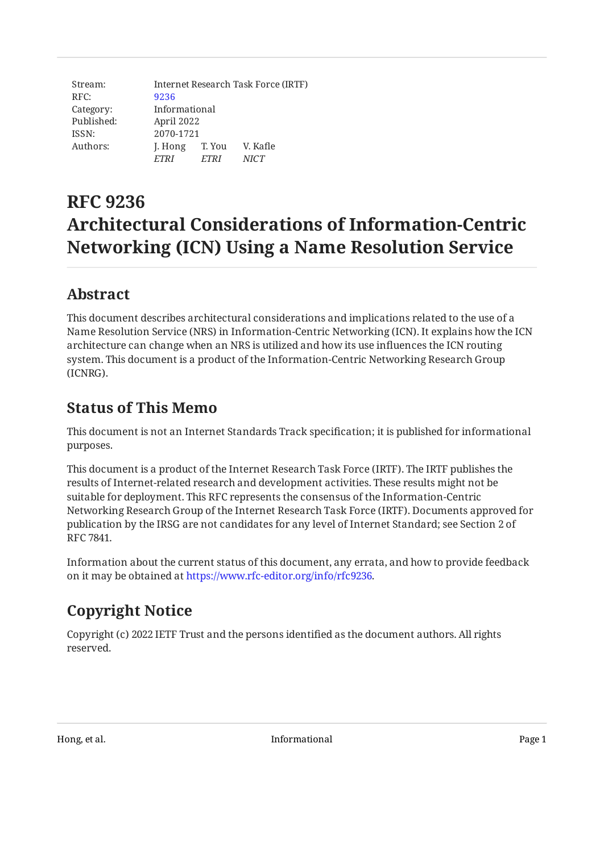Stream: RFC: Category: Published: ISSN: Authors: Internet Research Task Force (IRTF) [9236](https://www.rfc-editor.org/rfc/rfc9236) Informational April 2022 2070-1721 J. Hong T. You V. Kafle *ETRI ETRI NICT*

# **RFC 9236 Architectural Considerations of Information-Centric Networking (ICN) Using a Name Resolution Service**

# <span id="page-0-0"></span>**[Abstract](#page-0-0)**

This document describes architectural considerations and implications related to the use of a Name Resolution Service (NRS) in Information-Centric Networking (ICN). It explains how the ICN architecture can change when an NRS is utilized and how its use influences the ICN routing system. This document is a product of the Information-Centric Networking Research Group (ICNRG).

# <span id="page-0-1"></span>**[Status of This Memo](#page-0-1)**

This document is not an Internet Standards Track specification; it is published for informational purposes.

This document is a product of the Internet Research Task Force (IRTF). The IRTF publishes the results of Internet-related research and development activities. These results might not be suitable for deployment. This RFC represents the consensus of the Information-Centric Networking Research Group of the Internet Research Task Force (IRTF). Documents approved for publication by the IRSG are not candidates for any level of Internet Standard; see Section 2 of RFC 7841.

Information about the current status of this document, any errata, and how to provide feedback on it may be obtained at [https://www.rfc-editor.org/info/rfc9236.](https://www.rfc-editor.org/info/rfc9236)

# <span id="page-0-2"></span>**[Copyright Notice](#page-0-2)**

Copyright (c) 2022 IETF Trust and the persons identified as the document authors. All rights reserved.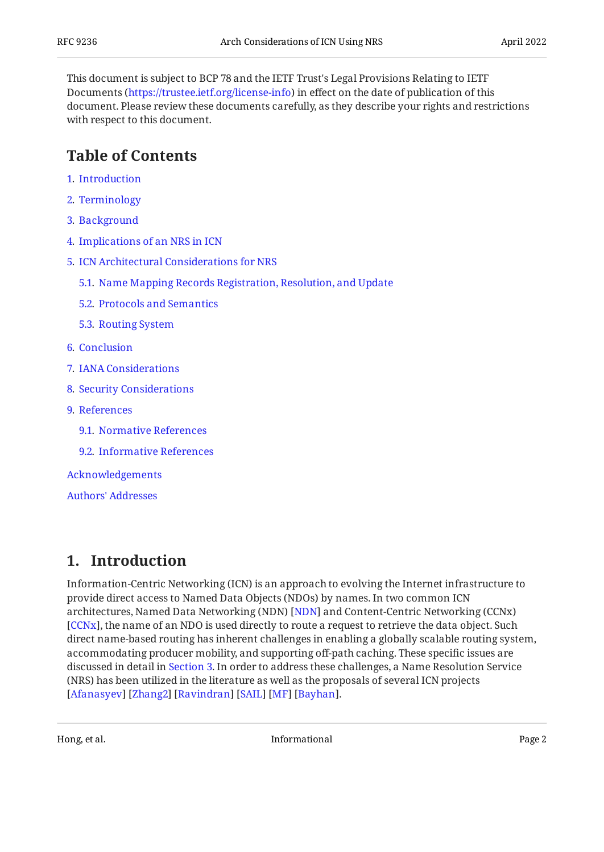This document is subject to BCP 78 and the IETF Trust's Legal Provisions Relating to IETF Documents (<https://trustee.ietf.org/license-info>) in effect on the date of publication of this document. Please review these documents carefully, as they describe your rights and restrictions with respect to this document.

#### <span id="page-1-0"></span>**[Table of Contents](#page-1-0)**

- [1](#page-1-1). [Introduction](#page-1-1)
- [2](#page-2-0). [Terminology](#page-2-0)
- [3](#page-3-0). [Background](#page-3-0)
- [4](#page-4-0). [Implications of an NRS in ICN](#page-4-0)
- [5](#page-4-1). [ICN Architectural Considerations for NRS](#page-4-1)
	- [5.1.](#page-5-0) [Name Mapping Records Registration, Resolution, and Update](#page-5-0)
	- [5.2.](#page-6-0) [Protocols and Semantics](#page-6-0)
	- [5.3.](#page-7-0) [Routing System](#page-7-0)
- [6](#page-7-1). [Conclusion](#page-7-1)
- [7](#page-7-2). [IANA Considerations](#page-7-2)
- [8](#page-8-0). [Security Considerations](#page-8-0)
- [9](#page-8-1). [References](#page-8-1)
	- [9.1.](#page-8-2) [Normative References](#page-8-2)
	- [9.2.](#page-9-0) [Informative References](#page-9-0)

[Acknowledgements](#page-10-0)

[Authors' Addresses](#page-10-1)

#### <span id="page-1-1"></span>**[1. Introduction](#page-1-1)**

Information-Centric Networking (ICN) is an approach to evolving the Internet infrastructure to provide direct access to Named Data Objects (NDOs) by names. In two common ICN architectures, Named Data Networking (NDN) [NDN] and Content-Centric Networking (CCNx) [[CCNx\]](#page-9-1), the name of an NDO is used directly to route a request to retrieve the data object. Such direct name-based routing has inherent challenges in enabling a globally scalable routing system, accommodating producer mobility, and supporting off-path caching. These specific issues are discussed in detail in [Section 3](#page-3-0). In order to address these challenges, a Name Resolution Service (NRS) has been utilized in the literature as well as the proposals of several ICN projects . [[Afanasyev\]](#page-9-2) [Zhang2] [Ravindran] [SAIL] [MF] [Bayhan]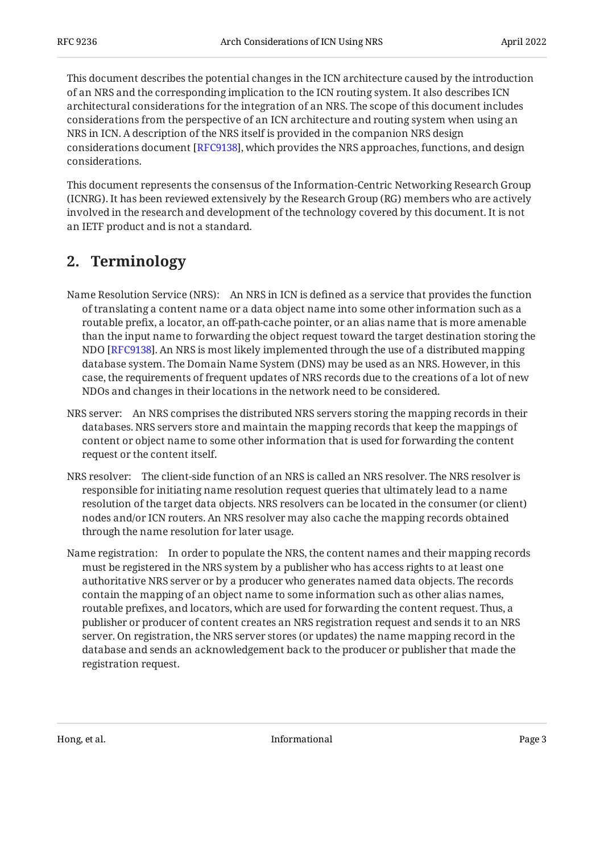This document describes the potential changes in the ICN architecture caused by the introduction of an NRS and the corresponding implication to the ICN routing system. It also describes ICN architectural considerations for the integration of an NRS. The scope of this document includes considerations from the perspective of an ICN architecture and routing system when using an NRS in ICN. A description of the NRS itself is provided in the companion NRS design considerations document [\[RFC9138\]](#page-9-5), which provides the NRS approaches, functions, and design considerations.

This document represents the consensus of the Information-Centric Networking Research Group (ICNRG). It has been reviewed extensively by the Research Group (RG) members who are actively involved in the research and development of the technology covered by this document. It is not an IETF product and is not a standard.

# <span id="page-2-0"></span>**[2. Terminology](#page-2-0)**

- Name Resolution Service (NRS): An NRS in ICN is defined as a service that provides the function of translating a content name or a data object name into some other information such as a routable prefix, a locator, an off-path-cache pointer, or an alias name that is more amenable than the input name to forwarding the object request toward the target destination storing the NDO [RFC9138]. An NRS is most likely implemented through the use of a distributed mapping database system. The Domain Name System (DNS) may be used as an NRS. However, in this case, the requirements of frequent updates of NRS records due to the creations of a lot of new NDOs and changes in their locations in the network need to be considered.
- NRS server: An NRS comprises the distributed NRS servers storing the mapping records in their databases. NRS servers store and maintain the mapping records that keep the mappings of content or object name to some other information that is used for forwarding the content request or the content itself.
- NRS resolver: The client-side function of an NRS is called an NRS resolver. The NRS resolver is responsible for initiating name resolution request queries that ultimately lead to a name resolution of the target data objects. NRS resolvers can be located in the consumer (or client) nodes and/or ICN routers. An NRS resolver may also cache the mapping records obtained through the name resolution for later usage.
- Name registration: In order to populate the NRS, the content names and their mapping records must be registered in the NRS system by a publisher who has access rights to at least one authoritative NRS server or by a producer who generates named data objects. The records contain the mapping of an object name to some information such as other alias names, routable prefixes, and locators, which are used for forwarding the content request. Thus, a publisher or producer of content creates an NRS registration request and sends it to an NRS server. On registration, the NRS server stores (or updates) the name mapping record in the database and sends an acknowledgement back to the producer or publisher that made the registration request.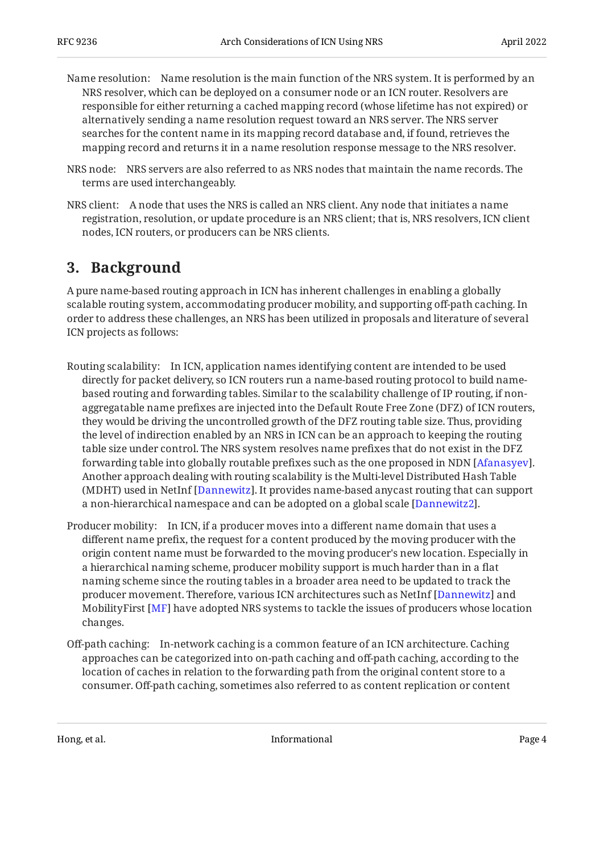- Name resolution: Name resolution is the main function of the NRS system. It is performed by an NRS resolver, which can be deployed on a consumer node or an ICN router. Resolvers are responsible for either returning a cached mapping record (whose lifetime has not expired) or alternatively sending a name resolution request toward an NRS server. The NRS server searches for the content name in its mapping record database and, if found, retrieves the mapping record and returns it in a name resolution response message to the NRS resolver.
- NRS node: NRS servers are also referred to as NRS nodes that maintain the name records. The terms are used interchangeably.
- NRS client: A node that uses the NRS is called an NRS client. Any node that initiates a name registration, resolution, or update procedure is an NRS client; that is, NRS resolvers, ICN client nodes, ICN routers, or producers can be NRS clients.

#### <span id="page-3-0"></span>**[3. Background](#page-3-0)**

A pure name-based routing approach in ICN has inherent challenges in enabling a globally scalable routing system, accommodating producer mobility, and supporting off-path caching. In order to address these challenges, an NRS has been utilized in proposals and literature of several ICN projects as follows:

- Routing scalability: In ICN, application names identifying content are intended to be used directly for packet delivery, so ICN routers run a name-based routing protocol to build namebased routing and forwarding tables. Similar to the scalability challenge of IP routing, if nonaggregatable name prefixes are injected into the Default Route Free Zone (DFZ) of ICN routers, they would be driving the uncontrolled growth of the DFZ routing table size. Thus, providing the level of indirection enabled by an NRS in ICN can be an approach to keeping the routing table size under control. The NRS system resolves name prefixes that do not exist in the DFZ forwarding table into globally routable prefixes such as the one proposed in NDN [\[Afanasyev](#page-9-2)].  $\,$ Another approach dealing with routing scalability is the Multi-level Distributed Hash Table (MDHT) used in NetInf [[Dannewitz](#page-9-6)]. It provides name-based anycast routing that can support a non-hierarchical namespace and can be adopted on a global scale [\[Dannewitz2](#page-9-7)].
- Producer mobility: In ICN, if a producer moves into a different name domain that uses a different name prefix, the request for a content produced by the moving producer with the origin content name must be forwarded to the moving producer's new location. Especially in a hierarchical naming scheme, producer mobility support is much harder than in a flat naming scheme since the routing tables in a broader area need to be updated to track the producer movement. Therefore, various ICN architectures such as NetInf [Dannewitz] and MobilityFirst [\[MF\]](#page-9-3) have adopted NRS systems to tackle the issues of producers whose location changes.
- Off-path caching: In-network caching is a common feature of an ICN architecture. Caching approaches can be categorized into on-path caching and off-path caching, according to the location of caches in relation to the forwarding path from the original content store to a consumer. Off-path caching, sometimes also referred to as content replication or content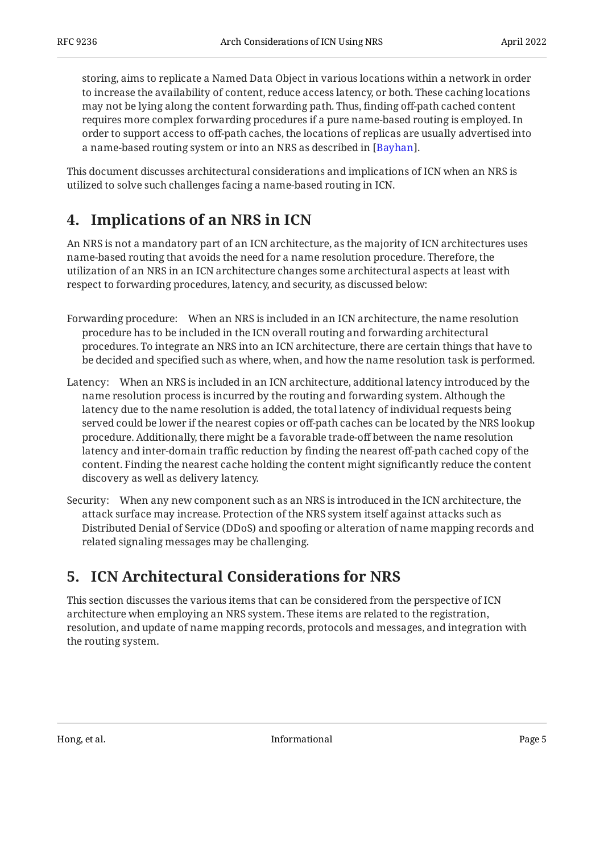storing, aims to replicate a Named Data Object in various locations within a network in order to increase the availability of content, reduce access latency, or both. These caching locations may not be lying along the content forwarding path. Thus, finding off-path cached content requires more complex forwarding procedures if a pure name-based routing is employed. In order to support access to off-path caches, the locations of replicas are usually advertised into a name-based routing system or into an NRS as described in [Bayhan].

<span id="page-4-0"></span>This document discusses architectural considerations and implications of ICN when an NRS is utilized to solve such challenges facing a name-based routing in ICN.

# **[4. Implications of an NRS in ICN](#page-4-0)**

An NRS is not a mandatory part of an ICN architecture, as the majority of ICN architectures uses name-based routing that avoids the need for a name resolution procedure. Therefore, the utilization of an NRS in an ICN architecture changes some architectural aspects at least with respect to forwarding procedures, latency, and security, as discussed below:

- Forwarding procedure: When an NRS is included in an ICN architecture, the name resolution procedure has to be included in the ICN overall routing and forwarding architectural procedures. To integrate an NRS into an ICN architecture, there are certain things that have to be decided and specified such as where, when, and how the name resolution task is performed.
- Latency: When an NRS is included in an ICN architecture, additional latency introduced by the name resolution process is incurred by the routing and forwarding system. Although the latency due to the name resolution is added, the total latency of individual requests being served could be lower if the nearest copies or off-path caches can be located by the NRS lookup procedure. Additionally, there might be a favorable trade-off between the name resolution latency and inter-domain traffic reduction by finding the nearest off-path cached copy of the content. Finding the nearest cache holding the content might significantly reduce the content discovery as well as delivery latency.
- Security: When any new component such as an NRS is introduced in the ICN architecture, the attack surface may increase. Protection of the NRS system itself against attacks such as Distributed Denial of Service (DDoS) and spoofing or alteration of name mapping records and related signaling messages may be challenging.

# <span id="page-4-1"></span>**[5. ICN Architectural Considerations for NRS](#page-4-1)**

This section discusses the various items that can be considered from the perspective of ICN architecture when employing an NRS system. These items are related to the registration, resolution, and update of name mapping records, protocols and messages, and integration with the routing system.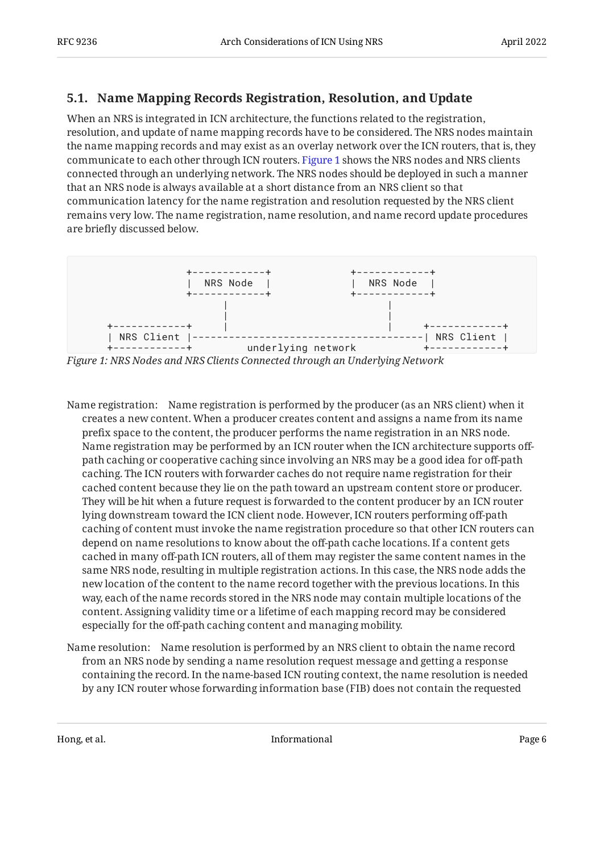#### <span id="page-5-0"></span>**[5.1. Name Mapping Records Registration, Resolution, and Update](#page-5-0)**

When an NRS is integrated in ICN architecture, the functions related to the registration, resolution, and update of name mapping records have to be considered. The NRS nodes maintain the name mapping records and may exist as an overlay network over the ICN routers, that is, they communicate to each other through ICN routers. [Figure 1](#page-5-1) shows the NRS nodes and NRS clients connected through an underlying network. The NRS nodes should be deployed in such a manner that an NRS node is always available at a short distance from an NRS client so that communication latency for the name registration and resolution requested by the NRS client remains very low. The name registration, name resolution, and name record update procedures are briefly discussed below.

<span id="page-5-1"></span>

*[Figure 1: NRS Nodes and NRS Clients Connected through an Underlying Network](#page-5-1)* 

- Name registration: Name registration is performed by the producer (as an NRS client) when it creates a new content. When a producer creates content and assigns a name from its name prefix space to the content, the producer performs the name registration in an NRS node. Name registration may be performed by an ICN router when the ICN architecture supports offpath caching or cooperative caching since involving an NRS may be a good idea for off-path caching. The ICN routers with forwarder caches do not require name registration for their cached content because they lie on the path toward an upstream content store or producer. They will be hit when a future request is forwarded to the content producer by an ICN router lying downstream toward the ICN client node. However, ICN routers performing off-path caching of content must invoke the name registration procedure so that other ICN routers can depend on name resolutions to know about the off-path cache locations. If a content gets cached in many off-path ICN routers, all of them may register the same content names in the same NRS node, resulting in multiple registration actions. In this case, the NRS node adds the new location of the content to the name record together with the previous locations. In this way, each of the name records stored in the NRS node may contain multiple locations of the content. Assigning validity time or a lifetime of each mapping record may be considered especially for the off-path caching content and managing mobility.
- Name resolution: Name resolution is performed by an NRS client to obtain the name record from an NRS node by sending a name resolution request message and getting a response containing the record. In the name-based ICN routing context, the name resolution is needed by any ICN router whose forwarding information base (FIB) does not contain the requested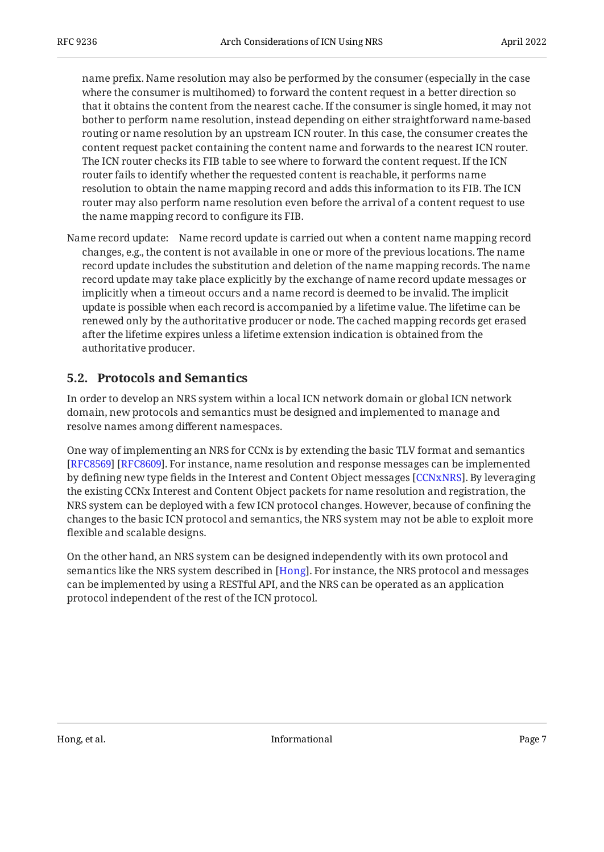name prefix. Name resolution may also be performed by the consumer (especially in the case where the consumer is multihomed) to forward the content request in a better direction so that it obtains the content from the nearest cache. If the consumer is single homed, it may not bother to perform name resolution, instead depending on either straightforward name-based routing or name resolution by an upstream ICN router. In this case, the consumer creates the content request packet containing the content name and forwards to the nearest ICN router. The ICN router checks its FIB table to see where to forward the content request. If the ICN router fails to identify whether the requested content is reachable, it performs name resolution to obtain the name mapping record and adds this information to its FIB. The ICN router may also perform name resolution even before the arrival of a content request to use the name mapping record to configure its FIB.

Name record update: Name record update is carried out when a content name mapping record changes, e.g., the content is not available in one or more of the previous locations. The name record update includes the substitution and deletion of the name mapping records. The name record update may take place explicitly by the exchange of name record update messages or implicitly when a timeout occurs and a name record is deemed to be invalid. The implicit update is possible when each record is accompanied by a lifetime value. The lifetime can be renewed only by the authoritative producer or node. The cached mapping records get erased after the lifetime expires unless a lifetime extension indication is obtained from the authoritative producer.

#### <span id="page-6-0"></span>**[5.2. Protocols and Semantics](#page-6-0)**

In order to develop an NRS system within a local ICN network domain or global ICN network domain, new protocols and semantics must be designed and implemented to manage and resolve names among different namespaces.

One way of implementing an NRS for CCNx is by extending the basic TLV format and semantics [[RFC8569\]](#page-9-8) [\[RFC8609\]](#page-9-9). For instance, name resolution and response messages can be implemented by defining new type fields in the Interest and Content Object messages [CCNxNRS]. By leveraging the existing CCNx Interest and Content Object packets for name resolution and registration, the NRS system can be deployed with a few ICN protocol changes. However, because of confining the changes to the basic ICN protocol and semantics, the NRS system may not be able to exploit more flexible and scalable designs.

On the other hand, an NRS system can be designed independently with its own protocol and semantics like the NRS system described in [Hong]. For instance, the NRS protocol and messages can be implemented by using a RESTful API, and the NRS can be operated as an application protocol independent of the rest of the ICN protocol.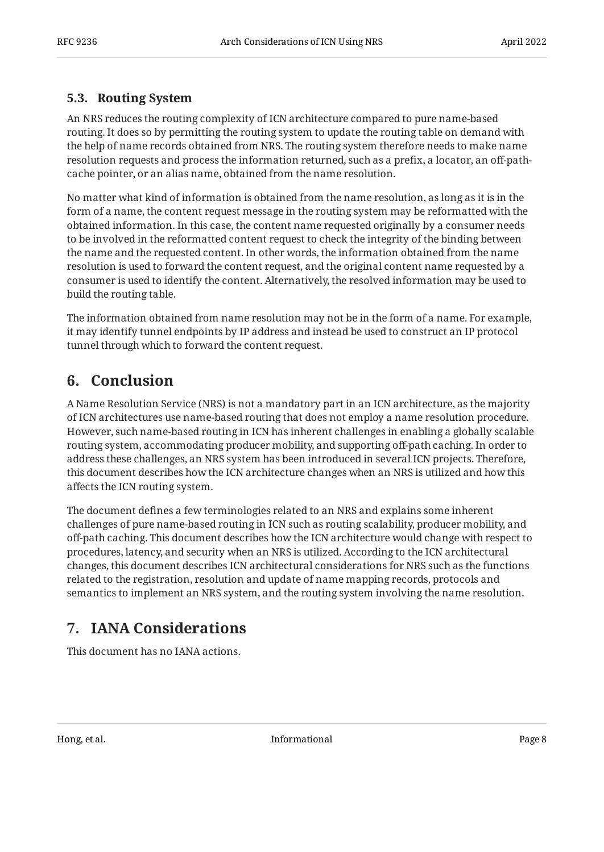#### <span id="page-7-0"></span>**[5.3. Routing System](#page-7-0)**

An NRS reduces the routing complexity of ICN architecture compared to pure name-based routing. It does so by permitting the routing system to update the routing table on demand with the help of name records obtained from NRS. The routing system therefore needs to make name resolution requests and process the information returned, such as a prefix, a locator, an off-pathcache pointer, or an alias name, obtained from the name resolution.

No matter what kind of information is obtained from the name resolution, as long as it is in the form of a name, the content request message in the routing system may be reformatted with the obtained information. In this case, the content name requested originally by a consumer needs to be involved in the reformatted content request to check the integrity of the binding between the name and the requested content. In other words, the information obtained from the name resolution is used to forward the content request, and the original content name requested by a consumer is used to identify the content. Alternatively, the resolved information may be used to build the routing table.

The information obtained from name resolution may not be in the form of a name. For example, it may identify tunnel endpoints by IP address and instead be used to construct an IP protocol tunnel through which to forward the content request.

# <span id="page-7-1"></span>**[6. Conclusion](#page-7-1)**

A Name Resolution Service (NRS) is not a mandatory part in an ICN architecture, as the majority of ICN architectures use name-based routing that does not employ a name resolution procedure. However, such name-based routing in ICN has inherent challenges in enabling a globally scalable routing system, accommodating producer mobility, and supporting off-path caching. In order to address these challenges, an NRS system has been introduced in several ICN projects. Therefore, this document describes how the ICN architecture changes when an NRS is utilized and how this affects the ICN routing system.

The document defines a few terminologies related to an NRS and explains some inherent challenges of pure name-based routing in ICN such as routing scalability, producer mobility, and off-path caching. This document describes how the ICN architecture would change with respect to procedures, latency, and security when an NRS is utilized. According to the ICN architectural changes, this document describes ICN architectural considerations for NRS such as the functions related to the registration, resolution and update of name mapping records, protocols and semantics to implement an NRS system, and the routing system involving the name resolution.

# <span id="page-7-2"></span>**[7. IANA Considerations](#page-7-2)**

This document has no IANA actions.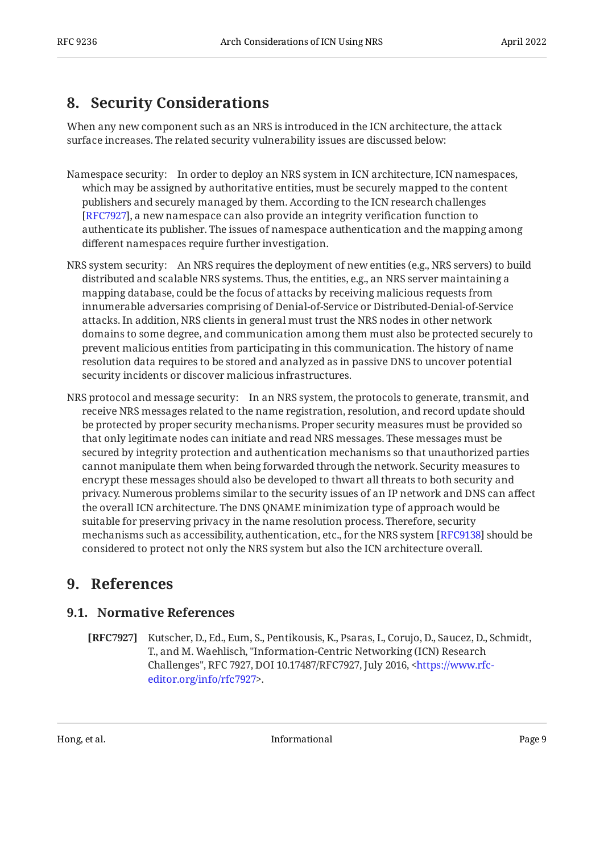# <span id="page-8-0"></span>**[8. Security Considerations](#page-8-0)**

When any new component such as an NRS is introduced in the ICN architecture, the attack surface increases. The related security vulnerability issues are discussed below:

- Namespace security: In order to deploy an NRS system in ICN architecture, ICN namespaces, which may be assigned by authoritative entities, must be securely mapped to the content publishers and securely managed by them. According to the ICN research challenges [[RFC7927\]](#page-8-3), a new namespace can also provide an integrity verification function to authenticate its publisher. The issues of namespace authentication and the mapping among different namespaces require further investigation.
- NRS system security: An NRS requires the deployment of new entities (e.g., NRS servers) to build distributed and scalable NRS systems. Thus, the entities, e.g., an NRS server maintaining a mapping database, could be the focus of attacks by receiving malicious requests from innumerable adversaries comprising of Denial-of-Service or Distributed-Denial-of-Service attacks. In addition, NRS clients in general must trust the NRS nodes in other network domains to some degree, and communication among them must also be protected securely to prevent malicious entities from participating in this communication. The history of name resolution data requires to be stored and analyzed as in passive DNS to uncover potential security incidents or discover malicious infrastructures.
- NRS protocol and message security: In an NRS system, the protocols to generate, transmit, and receive NRS messages related to the name registration, resolution, and record update should be protected by proper security mechanisms. Proper security measures must be provided so that only legitimate nodes can initiate and read NRS messages. These messages must be secured by integrity protection and authentication mechanisms so that unauthorized parties cannot manipulate them when being forwarded through the network. Security measures to encrypt these messages should also be developed to thwart all threats to both security and privacy. Numerous problems similar to the security issues of an IP network and DNS can affect the overall ICN architecture. The DNS QNAME minimization type of approach would be suitable for preserving privacy in the name resolution process. Therefore, security mechanisms such as accessibility, authentication, etc., for the NRS system [RFC9138] should be considered to protect not only the NRS system but also the ICN architecture overall.

#### <span id="page-8-2"></span><span id="page-8-1"></span>**[9. References](#page-8-1)**

#### **[9.1. Normative References](#page-8-2)**

<span id="page-8-3"></span>**[RFC7927]** Kutscher, D., Ed., Eum, S., Pentikousis, K., Psaras, I., Corujo, D., Saucez, D., Schmidt, T., and M. Waehlisch, "Information-Centric Networking (ICN) Research Challenges", RFC 7927, DOI 10.17487/RFC7927, July 2016, <[https://www.rfc-](https://www.rfc-editor.org/info/rfc7927). [editor.org/info/rfc7927](https://www.rfc-editor.org/info/rfc7927)>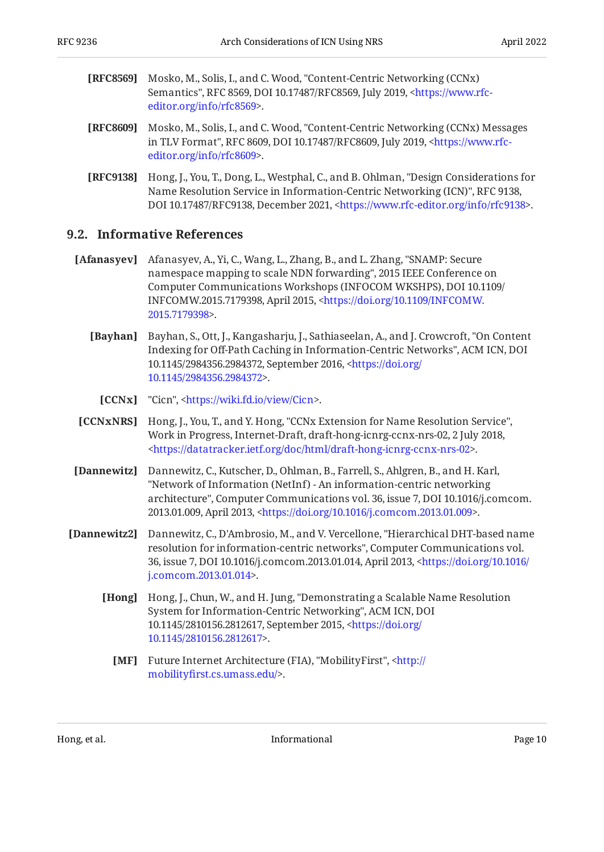- <span id="page-9-8"></span>**[RFC8569]** Mosko, M., Solis, I., and C. Wood, "Content-Centric Networking (CCNx) Semantics", RFC 8569, DOI 10.17487/RFC8569, July 2019, [<https://www.rfc-](https://www.rfc-editor.org/info/rfc8569). [editor.org/info/rfc8569](https://www.rfc-editor.org/info/rfc8569)>
- <span id="page-9-9"></span>**[RFC8609]** Mosko, M., Solis, I., and C. Wood, "Content-Centric Networking (CCNx) Messages in TLV Format", RFC 8609, DOI 10.17487/RFC8609, July 2019, [<https://www.rfc-](https://www.rfc-editor.org/info/rfc8609). [editor.org/info/rfc8609](https://www.rfc-editor.org/info/rfc8609)>
- <span id="page-9-5"></span>**[RFC9138]** Hong, J., You, T., Dong, L., Westphal, C., and B. Ohlman, "Design Considerations for Name Resolution Service in Information-Centric Networking (ICN)", RFC 9138, DOI 10.17487/RFC9138, December 2021, <https://www.rfc-editor.org/info/rfc9138>.

#### <span id="page-9-0"></span>**[9.2. Informative References](#page-9-0)**

- <span id="page-9-4"></span><span id="page-9-2"></span>[Afanasyev] Afanasyev, A., Yi, C., Wang, L., Zhang, B., and L. Zhang, "SNAMP: Secure namespace mapping to scale NDN forwarding", 2015 IEEE Conference on , Computer Communications Workshops (INFOCOM WKSHPS) DOI 10.1109/ INFCOMW.2015.7179398, April 2015, [<https://doi.org/10.1109/INFCOMW.](https://doi.org/10.1109/INFCOMW.2015.7179398) . [2015.7179398>](https://doi.org/10.1109/INFCOMW.2015.7179398)
	- **[Bayhan]** Bayhan, S., Ott, J., Kangasharju, J., Sathiaseelan, A., and J. Crowcroft, "On Content Indexing for Off-Path Caching in Information-Centric Networks", ACM ICN, DOI 10.1145/2984356.2984372, September 2016, [<https://doi.org/](https://doi.org/10.1145/2984356.2984372) . [10.1145/2984356.2984372](https://doi.org/10.1145/2984356.2984372)>
		- **[CCNx]** "Cicn", [<https://wiki.fd.io/view/Cicn](https://wiki.fd.io/view/Cicn)>.
- <span id="page-9-10"></span><span id="page-9-1"></span>**[CCNxNRS]** Hong, J., You, T., and Y. Hong, "CCNx Extension for Name Resolution Service", Work in Progress, Internet-Draft, draft-hong-icnrg-ccnx-nrs-02, 2 July 2018, . [<https://datatracker.ietf.org/doc/html/draft-hong-icnrg-ccnx-nrs-02](https://datatracker.ietf.org/doc/html/draft-hong-icnrg-ccnx-nrs-02)>
- <span id="page-9-6"></span>**[Dannewitz]** Dannewitz, C., Kutscher, D., Ohlman, B., Farrell, S., Ahlgren, B., and H. Karl, architecture", Computer Communications vol. 36, issue 7, DOI 10.1016/j.comcom. 2013.01.009, April 2013, <https://doi.org/10.1016/j.comcom.2013.01.009>. "Network of Information (NetInf) - An information-centric networking
- <span id="page-9-11"></span><span id="page-9-7"></span>**[Dannewitz2]** Dannewitz, C., D'Ambrosio, M., and V. Vercellone, "Hierarchical DHT-based name resolution for information-centric networks", Computer Communications vol. 36, issue 7, DOI 10.1016/j.comcom.2013.01.014, April 2013, [<https://doi.org/10.1016/](https://doi.org/10.1016/j.comcom.2013.01.014) . [j.comcom.2013.01.014](https://doi.org/10.1016/j.comcom.2013.01.014)>
	- **[Hong]** Hong, J., Chun, W., and H. Jung, "Demonstrating a Scalable Name Resolution System for Information-Centric Networking", ACM ICN, DOI 10.1145/2810156.2812617, September 2015, [<https://doi.org/](https://doi.org/10.1145/2810156.2812617) . [10.1145/2810156.2812617](https://doi.org/10.1145/2810156.2812617)>
		- **[MF]** Future Internet Architecture (FIA), "MobilityFirst", [<http://](http://mobilityfirst.cs.umass.edu/) . mobilityfi[rst.cs.umass.edu/](http://mobilityfirst.cs.umass.edu/)>

<span id="page-9-3"></span>